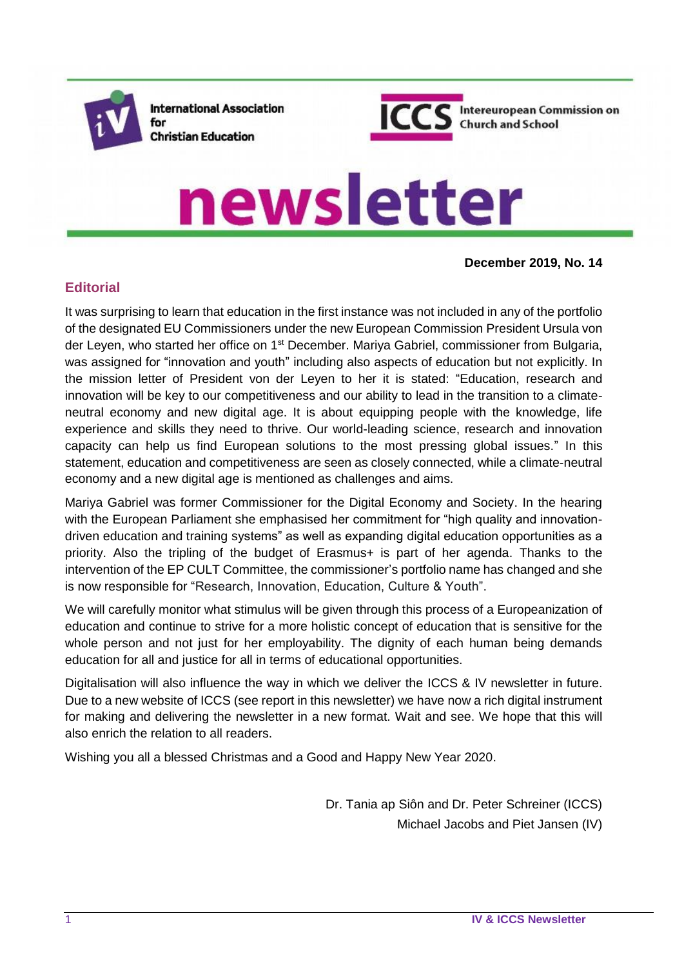

**International Association** for **Christian Education** 



Intereuropean Commission on **Church and School** 

# newsletter

#### **December 2019, No. 14**

# **Editorial**

It was surprising to learn that education in the first instance was not included in any of the portfolio of the designated EU Commissioners under the new European Commission President Ursula von der Leyen, who started her office on 1<sup>st</sup> December. Mariya Gabriel, commissioner from Bulgaria, was assigned for "innovation and youth" including also aspects of education but not explicitly. In the mission letter of President von der Leyen to her it is stated: "Education, research and innovation will be key to our competitiveness and our ability to lead in the transition to a climateneutral economy and new digital age. It is about equipping people with the knowledge, life experience and skills they need to thrive. Our world-leading science, research and innovation capacity can help us find European solutions to the most pressing global issues." In this statement, education and competitiveness are seen as closely connected, while a climate-neutral economy and a new digital age is mentioned as challenges and aims.

Mariya Gabriel was former Commissioner for the Digital Economy and Society. In the hearing with the European Parliament she emphasised her commitment for "high quality and innovationdriven education and training systems" as well as expanding digital education opportunities as a priority. Also the tripling of the budget of Erasmus+ is part of her agenda. Thanks to the intervention of the EP CULT Committee, the commissioner's portfolio name has changed and she is now responsible for "Research, Innovation, Education, Culture & Youth".

We will carefully monitor what stimulus will be given through this process of a Europeanization of education and continue to strive for a more holistic concept of education that is sensitive for the whole person and not just for her employability. The dignity of each human being demands education for all and justice for all in terms of educational opportunities.

Digitalisation will also influence the way in which we deliver the ICCS & IV newsletter in future. Due to a new website of ICCS (see report in this newsletter) we have now a rich digital instrument for making and delivering the newsletter in a new format. Wait and see. We hope that this will also enrich the relation to all readers.

Wishing you all a blessed Christmas and a Good and Happy New Year 2020.

Dr. Tania ap Siôn and Dr. Peter Schreiner (ICCS) Michael Jacobs and Piet Jansen (IV)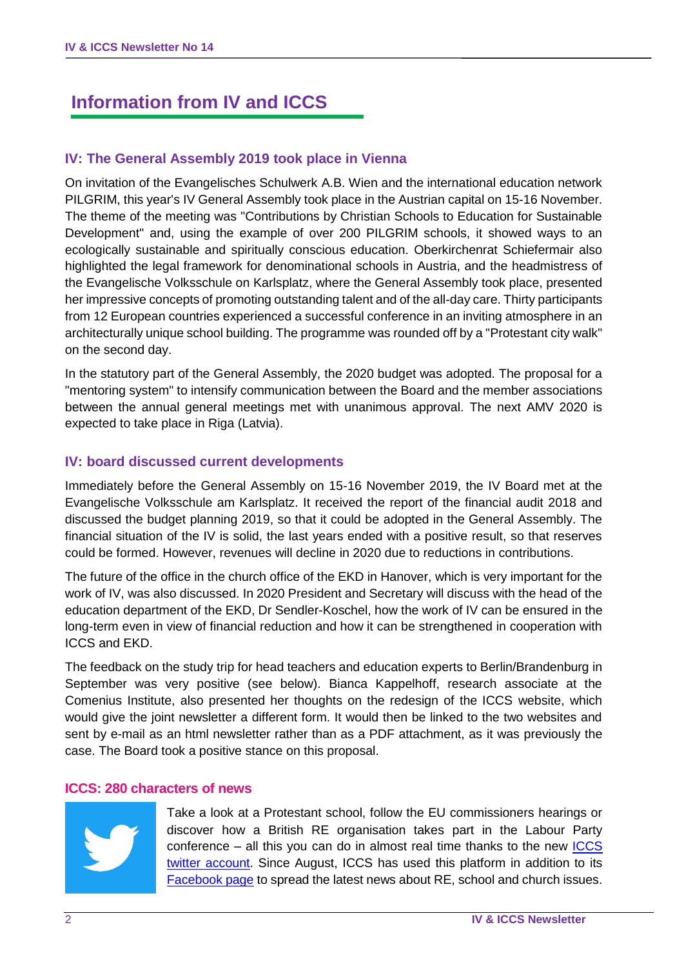# **Information from IV and ICCS**

# **IV: The General Assembly 2019 took place in Vienna**

On invitation of the Evangelisches Schulwerk A.B. Wien and the international education network PILGRIM, this year's IV General Assembly took place in the Austrian capital on 15-16 November. The theme of the meeting was "Contributions by Christian Schools to Education for Sustainable Development" and, using the example of over 200 PILGRIM schools, it showed ways to an ecologically sustainable and spiritually conscious education. Oberkirchenrat Schiefermair also highlighted the legal framework for denominational schools in Austria, and the headmistress of the Evangelische Volksschule on Karlsplatz, where the General Assembly took place, presented her impressive concepts of promoting outstanding talent and of the all-day care. Thirty participants from 12 European countries experienced a successful conference in an inviting atmosphere in an architecturally unique school building. The programme was rounded off by a "Protestant city walk" on the second day.

In the statutory part of the General Assembly, the 2020 budget was adopted. The proposal for a "mentoring system" to intensify communication between the Board and the member associations between the annual general meetings met with unanimous approval. The next AMV 2020 is expected to take place in Riga (Latvia).

# **IV: board discussed current developments**

Immediately before the General Assembly on 15-16 November 2019, the IV Board met at the Evangelische Volksschule am Karlsplatz. It received the report of the financial audit 2018 and discussed the budget planning 2019, so that it could be adopted in the General Assembly. The financial situation of the IV is solid, the last years ended with a positive result, so that reserves could be formed. However, revenues will decline in 2020 due to reductions in contributions.

The future of the office in the church office of the EKD in Hanover, which is very important for the work of IV, was also discussed. In 2020 President and Secretary will discuss with the head of the education department of the EKD, Dr Sendler-Koschel, how the work of IV can be ensured in the long-term even in view of financial reduction and how it can be strengthened in cooperation with ICCS and EKD.

The feedback on the study trip for head teachers and education experts to Berlin/Brandenburg in September was very positive (see below). Bianca Kappelhoff, research associate at the Comenius Institute, also presented her thoughts on the redesign of the ICCS website, which would give the joint newsletter a different form. It would then be linked to the two websites and sent by e-mail as an html newsletter rather than as a PDF attachment, as it was previously the case. The Board took a positive stance on this proposal.

# **ICCS: 280 characters of news**



Take a look at a Protestant school, follow the EU commissioners hearings or discover how a British RE organisation takes part in the Labour Party conference – all this you can do in almost real time thanks to the new [ICCS](https://twitter.com/iccs01)  [twitter account.](https://twitter.com/iccs01) Since August, ICCS has used this platform in addition to its [Facebook page](https://www.facebook.com/IntereuropeanCommissionOnChurchAndSchool/) to spread the latest news about RE, school and church issues.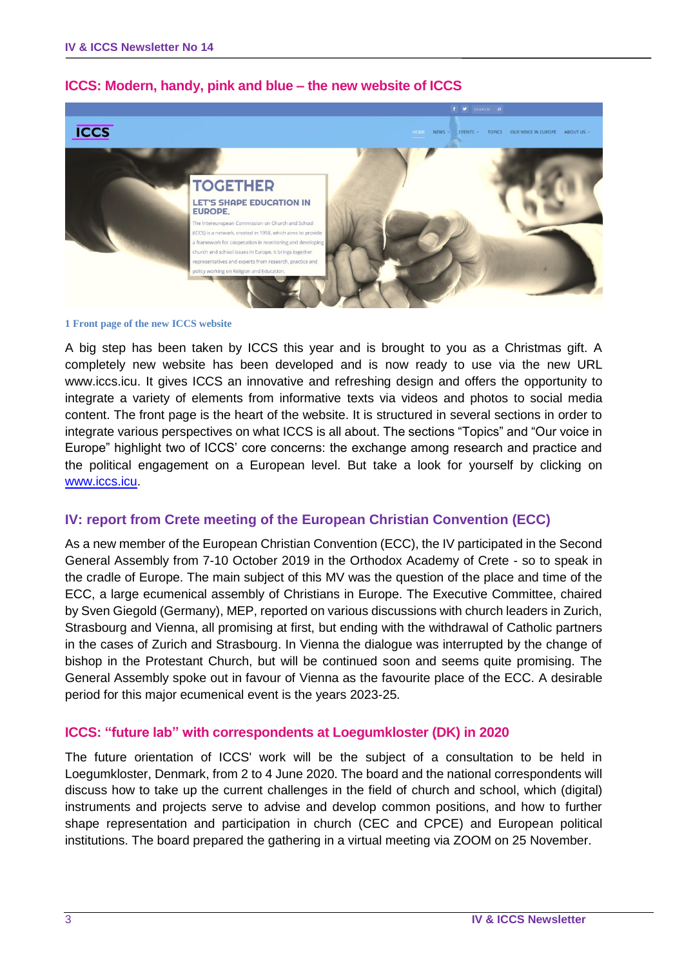

# **ICCS: Modern, handy, pink and blue – the new website of ICCS**

#### **1 Front page of the new ICCS website**

A big step has been taken by ICCS this year and is brought to you as a Christmas gift. A completely new website has been developed and is now ready to use via the new URL www.iccs.icu. It gives ICCS an innovative and refreshing design and offers the opportunity to integrate a variety of elements from informative texts via videos and photos to social media content. The front page is the heart of the website. It is structured in several sections in order to integrate various perspectives on what ICCS is all about. The sections "Topics" and "Our voice in Europe" highlight two of ICCS' core concerns: the exchange among research and practice and the political engagement on a European level. But take a look for yourself by clicking on [www.iccs.icu.](http://www.iccs.icu/)

#### **IV: report from Crete meeting of the European Christian Convention (ECC)**

As a new member of the European Christian Convention (ECC), the IV participated in the Second General Assembly from 7-10 October 2019 in the Orthodox Academy of Crete - so to speak in the cradle of Europe. The main subject of this MV was the question of the place and time of the ECC, a large ecumenical assembly of Christians in Europe. The Executive Committee, chaired by Sven Giegold (Germany), MEP, reported on various discussions with church leaders in Zurich, Strasbourg and Vienna, all promising at first, but ending with the withdrawal of Catholic partners in the cases of Zurich and Strasbourg. In Vienna the dialogue was interrupted by the change of bishop in the Protestant Church, but will be continued soon and seems quite promising. The General Assembly spoke out in favour of Vienna as the favourite place of the ECC. A desirable period for this major ecumenical event is the years 2023-25.

#### **ICCS: "future lab" with correspondents at Loegumkloster (DK) in 2020**

The future orientation of ICCS' work will be the subject of a consultation to be held in Loegumkloster, Denmark, from 2 to 4 June 2020. The board and the national correspondents will discuss how to take up the current challenges in the field of church and school, which (digital) instruments and projects serve to advise and develop common positions, and how to further shape representation and participation in church (CEC and CPCE) and European political institutions. The board prepared the gathering in a virtual meeting via ZOOM on 25 November.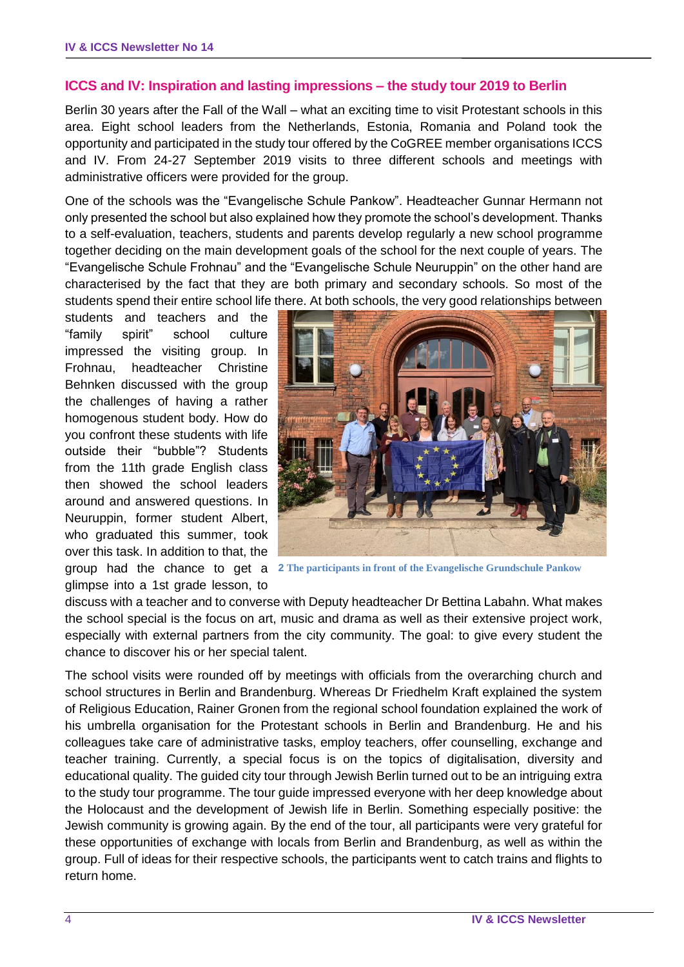#### **ICCS and IV: Inspiration and lasting impressions – the study tour 2019 to Berlin**

Berlin 30 years after the Fall of the Wall – what an exciting time to visit Protestant schools in this area. Eight school leaders from the Netherlands, Estonia, Romania and Poland took the opportunity and participated in the study tour offered by the CoGREE member organisations ICCS and IV. From 24-27 September 2019 visits to three different schools and meetings with administrative officers were provided for the group.

One of the schools was the "Evangelische Schule Pankow". Headteacher Gunnar Hermann not only presented the school but also explained how they promote the school's development. Thanks to a self-evaluation, teachers, students and parents develop regularly a new school programme together deciding on the main development goals of the school for the next couple of years. The "Evangelische Schule Frohnau" and the "Evangelische Schule Neuruppin" on the other hand are characterised by the fact that they are both primary and secondary schools. So most of the students spend their entire school life there. At both schools, the very good relationships between

students and teachers and the "family spirit" school culture impressed the visiting group. In Frohnau, headteacher Christine Behnken discussed with the group the challenges of having a rather homogenous student body. How do you confront these students with life outside their "bubble"? Students from the 11th grade English class then showed the school leaders around and answered questions. In Neuruppin, former student Albert, who graduated this summer, took over this task. In addition to that, the glimpse into a 1st grade lesson, to



group had the chance to get a **2 The participants in front of the Evangelische Grundschule Pankow**

discuss with a teacher and to converse with Deputy headteacher Dr Bettina Labahn. What makes the school special is the focus on art, music and drama as well as their extensive project work, especially with external partners from the city community. The goal: to give every student the chance to discover his or her special talent.

The school visits were rounded off by meetings with officials from the overarching church and school structures in Berlin and Brandenburg. Whereas Dr Friedhelm Kraft explained the system of Religious Education, Rainer Gronen from the regional school foundation explained the work of his umbrella organisation for the Protestant schools in Berlin and Brandenburg. He and his colleagues take care of administrative tasks, employ teachers, offer counselling, exchange and teacher training. Currently, a special focus is on the topics of digitalisation, diversity and educational quality. The guided city tour through Jewish Berlin turned out to be an intriguing extra to the study tour programme. The tour guide impressed everyone with her deep knowledge about the Holocaust and the development of Jewish life in Berlin. Something especially positive: the Jewish community is growing again. By the end of the tour, all participants were very grateful for these opportunities of exchange with locals from Berlin and Brandenburg, as well as within the group. Full of ideas for their respective schools, the participants went to catch trains and flights to return home.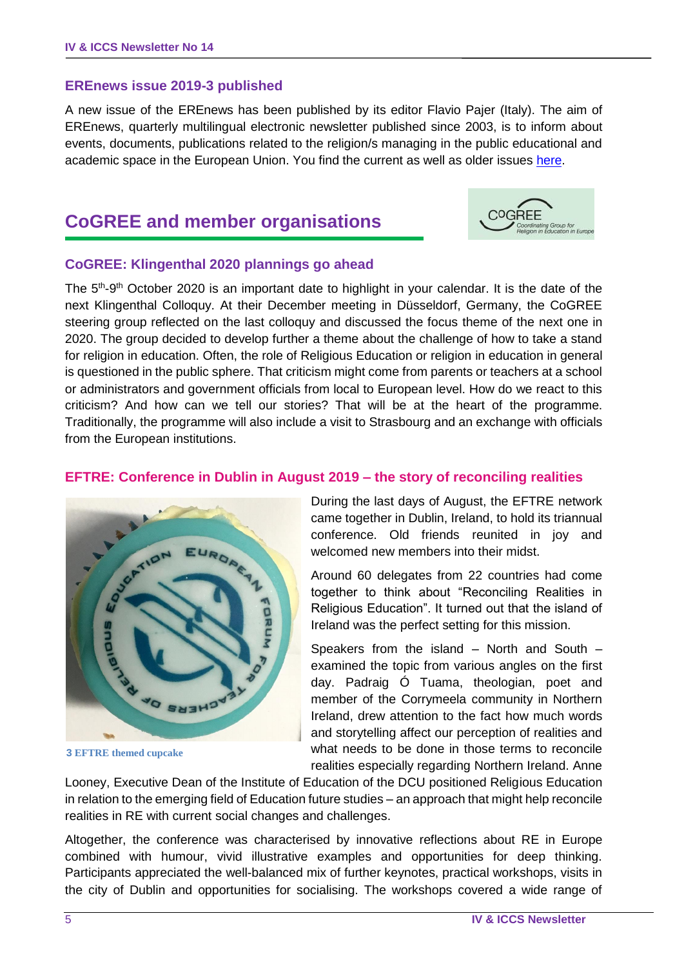#### **EREnews issue 2019-3 published**

A new issue of the EREnews has been published by its editor Flavio Pajer (Italy). The aim of EREnews, quarterly multilingual electronic newsletter published since 2003, is to inform about events, documents, publications related to the religion/s managing in the public educational and academic space in the European Union. You find the current as well as older issues [here.](http://www.lasalliana.it/risorse/erenews-notiziario-trimestrale.html)

# **CoGREE and member organisations**



#### **CoGREE: Klingenthal 2020 plannings go ahead**

The  $5<sup>th</sup>$ -9<sup>th</sup> October 2020 is an important date to highlight in your calendar. It is the date of the next Klingenthal Colloquy. At their December meeting in Düsseldorf, Germany, the CoGREE steering group reflected on the last colloquy and discussed the focus theme of the next one in 2020. The group decided to develop further a theme about the challenge of how to take a stand for religion in education. Often, the role of Religious Education or religion in education in general is questioned in the public sphere. That criticism might come from parents or teachers at a school or administrators and government officials from local to European level. How do we react to this criticism? And how can we tell our stories? That will be at the heart of the programme. Traditionally, the programme will also include a visit to Strasbourg and an exchange with officials from the European institutions.



**3 EFTRE themed cupcake**

#### **EFTRE: Conference in Dublin in August 2019 – the story of reconciling realities**

During the last days of August, the EFTRE network came together in Dublin, Ireland, to hold its triannual conference. Old friends reunited in joy and welcomed new members into their midst.

Around 60 delegates from 22 countries had come together to think about "Reconciling Realities in Religious Education". It turned out that the island of Ireland was the perfect setting for this mission.

Speakers from the island – North and South – examined the topic from various angles on the first day. Padraig Ó Tuama, theologian, poet and member of the Corrymeela community in Northern Ireland, drew attention to the fact how much words and storytelling affect our perception of realities and what needs to be done in those terms to reconcile realities especially regarding Northern Ireland. Anne

Looney, Executive Dean of the Institute of Education of the DCU positioned Religious Education in relation to the emerging field of Education future studies – an approach that might help reconcile realities in RE with current social changes and challenges.

Altogether, the conference was characterised by innovative reflections about RE in Europe combined with humour, vivid illustrative examples and opportunities for deep thinking. Participants appreciated the well-balanced mix of further keynotes, practical workshops, visits in the city of Dublin and opportunities for socialising. The workshops covered a wide range of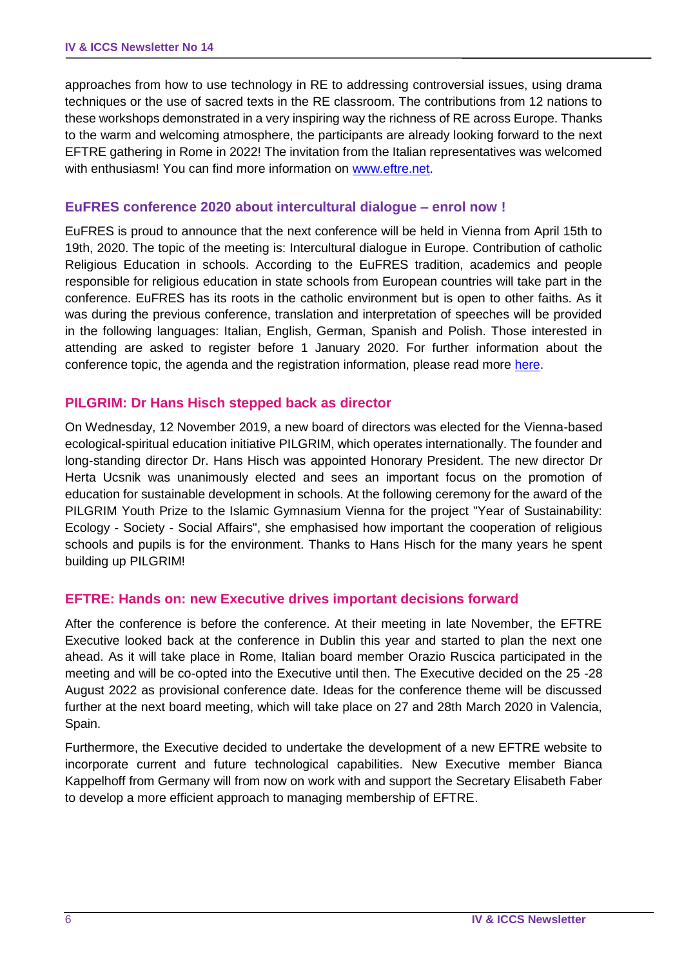approaches from how to use technology in RE to addressing controversial issues, using drama techniques or the use of sacred texts in the RE classroom. The contributions from 12 nations to these workshops demonstrated in a very inspiring way the richness of RE across Europe. Thanks to the warm and welcoming atmosphere, the participants are already looking forward to the next EFTRE gathering in Rome in 2022! The invitation from the Italian representatives was welcomed with enthusiasm! You can find more information on [www.eftre.net.](http://www.eftre.net/)

# **EuFRES conference 2020 about intercultural dialogue – enrol now !**

EuFRES is proud to announce that the next conference will be held in Vienna from April 15th to 19th, 2020. The topic of the meeting is: Intercultural dialogue in Europe. Contribution of catholic Religious Education in schools. According to the EuFRES tradition, academics and people responsible for religious education in state schools from European countries will take part in the conference. EuFRES has its roots in the catholic environment but is open to other faiths. As it was during the previous conference, translation and interpretation of speeches will be provided in the following languages: Italian, English, German, Spanish and Polish. Those interested in attending are asked to register before 1 January 2020. For further information about the conference topic, the agenda and the registration information, please read more [here.](https://cogree.org/2019/11/25/eufres-conference-2020-about-intercultural-dialogue-in-europe/)

# **PILGRIM: Dr Hans Hisch stepped back as director**

On Wednesday, 12 November 2019, a new board of directors was elected for the Vienna-based ecological-spiritual education initiative PILGRIM, which operates internationally. The founder and long-standing director Dr. Hans Hisch was appointed Honorary President. The new director Dr Herta Ucsnik was unanimously elected and sees an important focus on the promotion of education for sustainable development in schools. At the following ceremony for the award of the PILGRIM Youth Prize to the Islamic Gymnasium Vienna for the project "Year of Sustainability: Ecology - Society - Social Affairs", she emphasised how important the cooperation of religious schools and pupils is for the environment. Thanks to Hans Hisch for the many years he spent building up PILGRIM!

# **EFTRE: Hands on: new Executive drives important decisions forward**

After the conference is before the conference. At their meeting in late November, the EFTRE Executive looked back at the conference in Dublin this year and started to plan the next one ahead. As it will take place in Rome, Italian board member Orazio Ruscica participated in the meeting and will be co-opted into the Executive until then. The Executive decided on the 25 -28 August 2022 as provisional conference date. Ideas for the conference theme will be discussed further at the next board meeting, which will take place on 27 and 28th March 2020 in Valencia, Spain.

Furthermore, the Executive decided to undertake the development of a new EFTRE website to incorporate current and future technological capabilities. New Executive member Bianca Kappelhoff from Germany will from now on work with and support the Secretary Elisabeth Faber to develop a more efficient approach to managing membership of EFTRE.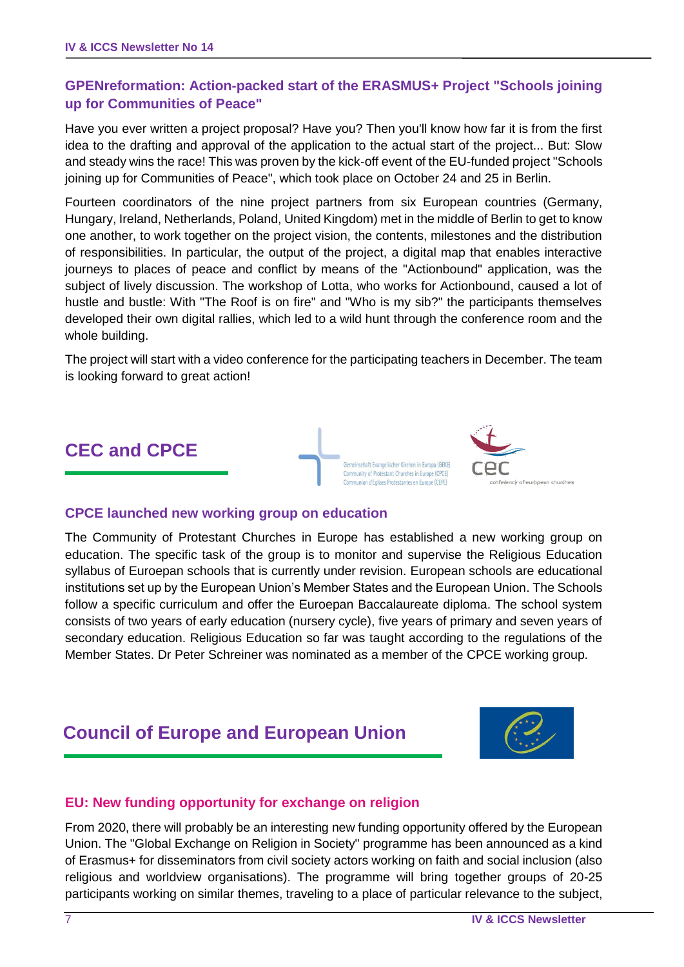# **GPENreformation: Action-packed start of the ERASMUS+ Project "Schools joining up for Communities of Peace"**

Have you ever written a project proposal? Have you? Then you'll know how far it is from the first idea to the drafting and approval of the application to the actual start of the project... But: Slow and steady wins the race! This was proven by the kick-off event of the EU-funded project "Schools joining up for Communities of Peace", which took place on October 24 and 25 in Berlin.

Fourteen coordinators of the nine project partners from six European countries (Germany, Hungary, Ireland, Netherlands, Poland, United Kingdom) met in the middle of Berlin to get to know one another, to work together on the project vision, the contents, milestones and the distribution of responsibilities. In particular, the output of the project, a digital map that enables interactive journeys to places of peace and conflict by means of the "Actionbound" application, was the subject of lively discussion. The workshop of Lotta, who works for Actionbound, caused a lot of hustle and bustle: With "The Roof is on fire" and "Who is my sib?" the participants themselves developed their own digital rallies, which led to a wild hunt through the conference room and the whole building.

The project will start with a video conference for the participating teachers in December. The team is looking forward to great action!



# **CPCE launched new working group on education**

The Community of Protestant Churches in Europe has established a new working group on education. The specific task of the group is to monitor and supervise the Religious Education syllabus of Euroepan schools that is currently under revision. European schools are educational institutions set up by the European Union's Member States and the European Union. The Schools follow a specific curriculum and offer the Euroepan Baccalaureate diploma. The school system consists of two years of early education (nursery cycle), five years of primary and seven years of secondary education. Religious Education so far was taught according to the regulations of the Member States. Dr Peter Schreiner was nominated as a member of the CPCE working group.

# **Council of Europe and European Union**



# **EU: New funding opportunity for exchange on religion**

From 2020, there will probably be an interesting new funding opportunity offered by the European Union. The "Global Exchange on Religion in Society" programme has been announced as a kind of Erasmus+ for disseminators from civil society actors working on faith and social inclusion (also religious and worldview organisations). The programme will bring together groups of 20-25 participants working on similar themes, traveling to a place of particular relevance to the subject,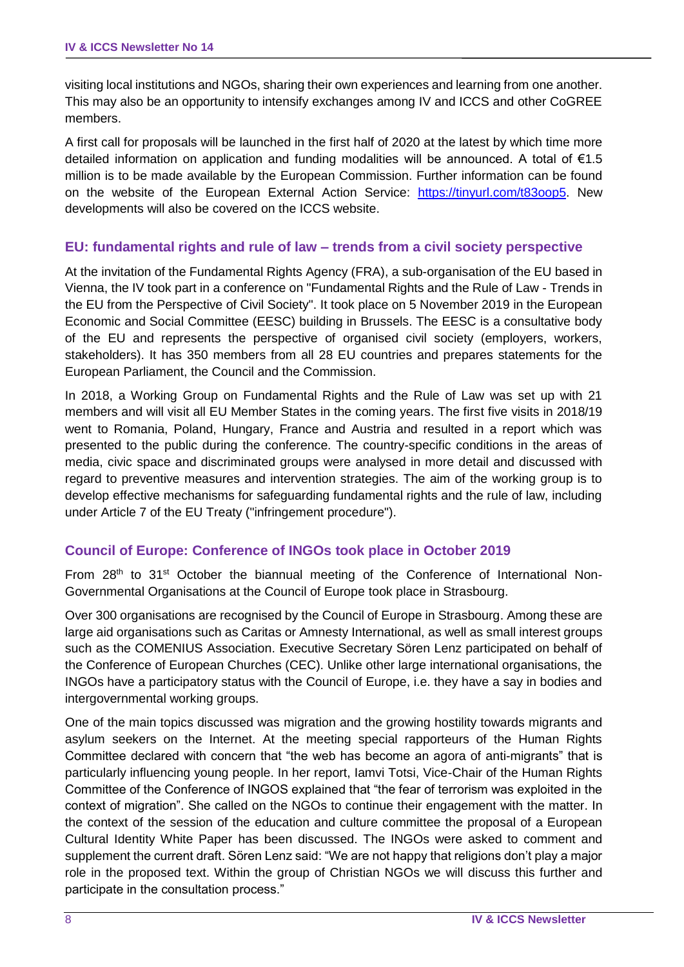visiting local institutions and NGOs, sharing their own experiences and learning from one another. This may also be an opportunity to intensify exchanges among IV and ICCS and other CoGREE members.

A first call for proposals will be launched in the first half of 2020 at the latest by which time more detailed information on application and funding modalities will be announced. A total of €1.5 million is to be made available by the European Commission. Further information can be found on the website of the European External Action Service: [https://tinyurl.com/t83oop5.](https://tinyurl.com/t83oop5) New developments will also be covered on the ICCS website.

# **EU: fundamental rights and rule of law – trends from a civil society perspective**

At the invitation of the Fundamental Rights Agency (FRA), a sub-organisation of the EU based in Vienna, the IV took part in a conference on "Fundamental Rights and the Rule of Law - Trends in the EU from the Perspective of Civil Society". It took place on 5 November 2019 in the European Economic and Social Committee (EESC) building in Brussels. The EESC is a consultative body of the EU and represents the perspective of organised civil society (employers, workers, stakeholders). It has 350 members from all 28 EU countries and prepares statements for the European Parliament, the Council and the Commission.

In 2018, a Working Group on Fundamental Rights and the Rule of Law was set up with 21 members and will visit all EU Member States in the coming years. The first five visits in 2018/19 went to Romania, Poland, Hungary, France and Austria and resulted in a report which was presented to the public during the conference. The country-specific conditions in the areas of media, civic space and discriminated groups were analysed in more detail and discussed with regard to preventive measures and intervention strategies. The aim of the working group is to develop effective mechanisms for safeguarding fundamental rights and the rule of law, including under Article 7 of the EU Treaty ("infringement procedure").

# **Council of Europe: Conference of INGOs took place in October 2019**

From 28<sup>th</sup> to 31<sup>st</sup> October the biannual meeting of the Conference of International Non-Governmental Organisations at the Council of Europe took place in Strasbourg.

Over 300 organisations are recognised by the Council of Europe in Strasbourg. Among these are large aid organisations such as Caritas or Amnesty International, as well as small interest groups such as the COMENIUS Association. Executive Secretary Sören Lenz participated on behalf of the Conference of European Churches (CEC). Unlike other large international organisations, the INGOs have a participatory status with the Council of Europe, i.e. they have a say in bodies and intergovernmental working groups.

One of the main topics discussed was migration and the growing hostility towards migrants and asylum seekers on the Internet. At the meeting special rapporteurs of the Human Rights Committee declared with concern that "the web has become an agora of anti-migrants" that is particularly influencing young people. In her report, Iamvi Totsi, Vice-Chair of the Human Rights Committee of the Conference of INGOS explained that "the fear of terrorism was exploited in the context of migration". She called on the NGOs to continue their engagement with the matter. In the context of the session of the education and culture committee the proposal of a European Cultural Identity White Paper has been discussed. The INGOs were asked to comment and supplement the current draft. Sören Lenz said: "We are not happy that religions don't play a major role in the proposed text. Within the group of Christian NGOs we will discuss this further and participate in the consultation process."